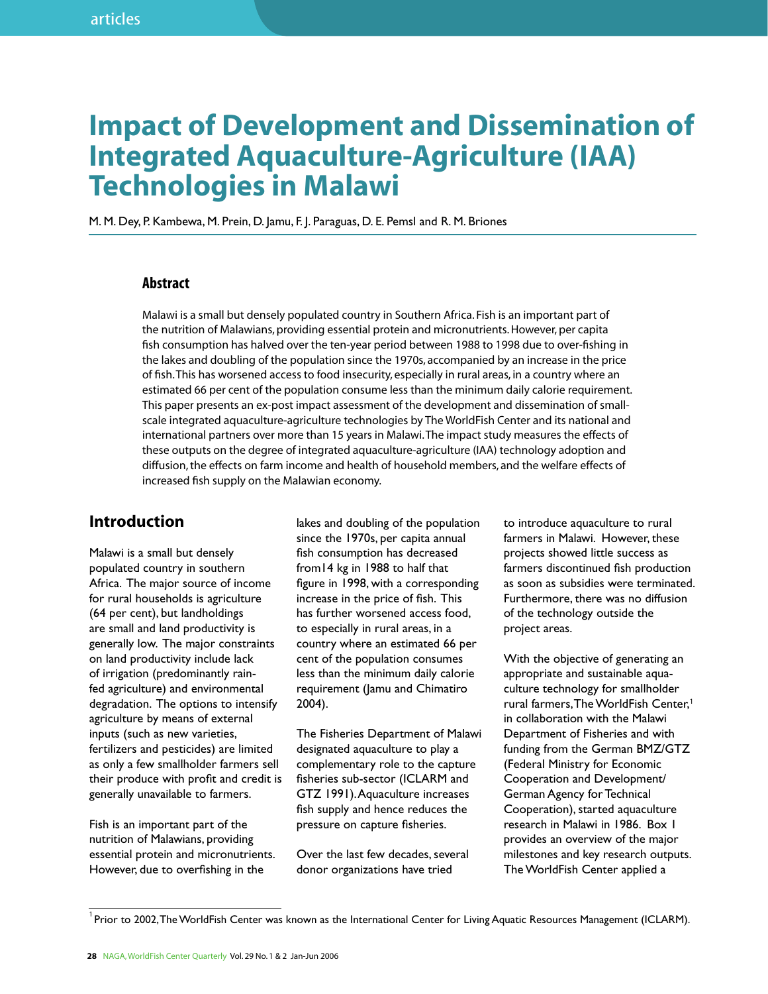# **Impact of Development and Dissemination of Integrated Aquaculture-Agriculture (IAA) Technologies in Malawi**

M. M. Dey, P. Kambewa, M. Prein, D. Jamu, F. J. Paraguas, D. E. Pemsl and R. M. Briones

### **Abstract**

Malawi is a small but densely populated country in Southern Africa. Fish is an important part of the nutrition of Malawians, providing essential protein and micronutrients. However, per capita fish consumption has halved over the ten-year period between 1988 to 1998 due to over-fishing in the lakes and doubling of the population since the 1970s, accompanied by an increase in the price of fish. This has worsened access to food insecurity, especially in rural areas, in a country where an estimated 66 per cent of the population consume less than the minimum daily calorie requirement. This paper presents an ex-post impact assessment of the development and dissemination of smallscale integrated aquaculture-agriculture technologies by The WorldFish Center and its national and international partners over more than 15 years in Malawi. The impact study measures the effects of these outputs on the degree of integrated aquaculture-agriculture (IAA) technology adoption and diffusion, the effects on farm income and health of household members, and the welfare effects of increased fish supply on the Malawian economy.

## **Introduction**

Malawi is a small but densely populated country in southern Africa. The major source of income for rural households is agriculture (64 per cent), but landholdings are small and land productivity is generally low. The major constraints on land productivity include lack of irrigation (predominantly rainfed agriculture) and environmental degradation. The options to intensify agriculture by means of external inputs (such as new varieties, fertilizers and pesticides) are limited as only a few smallholder farmers sell their produce with profit and credit is generally unavailable to farmers.

Fish is an important part of the nutrition of Malawians, providing essential protein and micronutrients. However, due to overfishing in the

lakes and doubling of the population since the 1970s, per capita annual fish consumption has decreased from14 kg in 1988 to half that figure in 1998, with a corresponding increase in the price of fish. This has further worsened access food, to especially in rural areas, in a country where an estimated 66 per cent of the population consumes less than the minimum daily calorie requirement (Jamu and Chimatiro 2004).

The Fisheries Department of Malawi designated aquaculture to play a complementary role to the capture fisheries sub-sector (ICLARM and GTZ 1991). Aquaculture increases fish supply and hence reduces the pressure on capture fisheries.

Over the last few decades, several donor organizations have tried

to introduce aquaculture to rural farmers in Malawi. However, these projects showed little success as farmers discontinued fish production as soon as subsidies were terminated. Furthermore, there was no diffusion of the technology outside the project areas.

With the objective of generating an appropriate and sustainable aquaculture technology for smallholder rural farmers, The WorldFish Center,<sup>1</sup> in collaboration with the Malawi Department of Fisheries and with funding from the German BMZ/GTZ (Federal Ministry for Economic Cooperation and Development/ German Agency for Technical Cooperation), started aquaculture research in Malawi in 1986. Box 1 provides an overview of the major milestones and key research outputs. The WorldFish Center applied a

 $^1$ Prior to 2002, The WorldFish Center was known as the International Center for Living Aquatic Resources Management (ICLARM).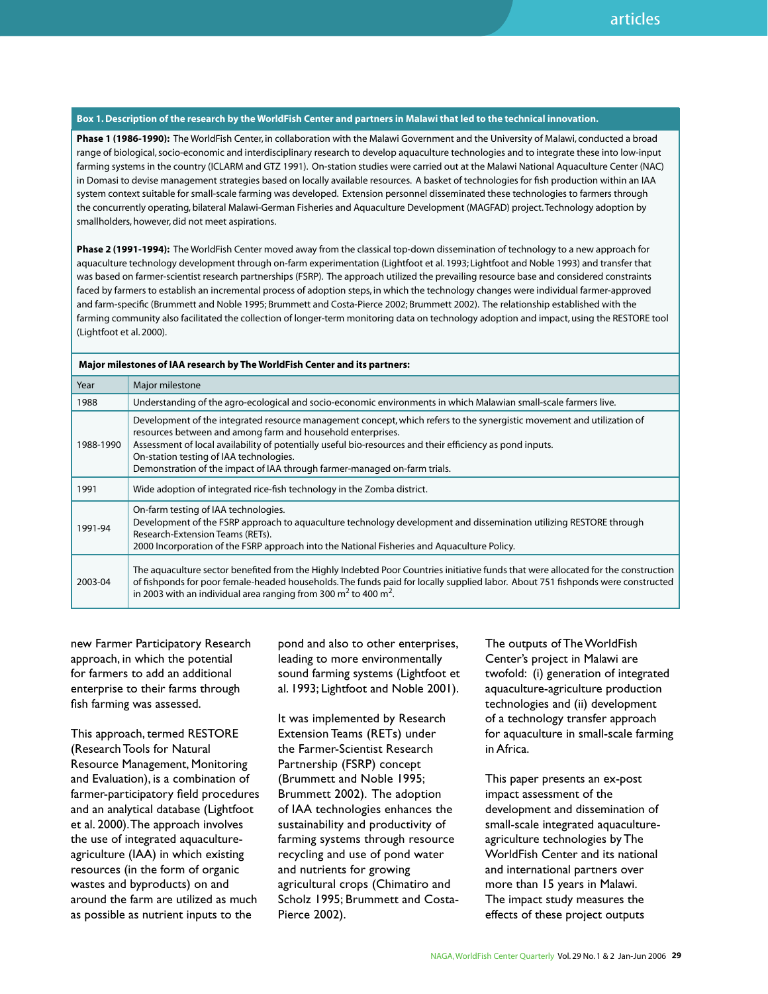#### **Box 1. Description of the research by the WorldFish Center and partners in Malawi that led to the technical innovation.**

**Phase 1 (1986-1990):** The WorldFish Center, in collaboration with the Malawi Government and the University of Malawi, conducted a broad range of biological, socio-economic and interdisciplinary research to develop aquaculture technologies and to integrate these into low-input farming systems in the country (ICLARM and GTZ 1991). On-station studies were carried out at the Malawi National Aquaculture Center (NAC) in Domasi to devise management strategies based on locally available resources. A basket of technologies for fish production within an IAA system context suitable for small-scale farming was developed. Extension personnel disseminated these technologies to farmers through the concurrently operating, bilateral Malawi-German Fisheries and Aquaculture Development (MAGFAD) project. Technology adoption by smallholders, however, did not meet aspirations.

**Phase 2 (1991-1994):** The WorldFish Center moved away from the classical top-down dissemination of technology to a new approach for aquaculture technology development through on-farm experimentation (Lightfoot et al. 1993; Lightfoot and Noble 1993) and transfer that was based on farmer-scientist research partnerships (FSRP). The approach utilized the prevailing resource base and considered constraints faced by farmers to establish an incremental process of adoption steps, in which the technology changes were individual farmer-approved and farm-specific (Brummett and Noble 1995; Brummett and Costa-Pierce 2002; Brummett 2002). The relationship established with the farming community also facilitated the collection of longer-term monitoring data on technology adoption and impact, using the RESTORE tool (Lightfoot et al. 2000).

| Major milestones of IAA research by The WorldFish Center and its partners: |  |
|----------------------------------------------------------------------------|--|
|                                                                            |  |

| Year      | Major milestone                                                                                                                                                                                                                                                                                                                                                                                                            |
|-----------|----------------------------------------------------------------------------------------------------------------------------------------------------------------------------------------------------------------------------------------------------------------------------------------------------------------------------------------------------------------------------------------------------------------------------|
| 1988      | Understanding of the agro-ecological and socio-economic environments in which Malawian small-scale farmers live.                                                                                                                                                                                                                                                                                                           |
| 1988-1990 | Development of the integrated resource management concept, which refers to the synergistic movement and utilization of<br>resources between and among farm and household enterprises.<br>Assessment of local availability of potentially useful bio-resources and their efficiency as pond inputs.<br>On-station testing of IAA technologies.<br>Demonstration of the impact of IAA through farmer-managed on-farm trials. |
| 1991      | Wide adoption of integrated rice-fish technology in the Zomba district.                                                                                                                                                                                                                                                                                                                                                    |
| 1991-94   | On-farm testing of IAA technologies.<br>Development of the FSRP approach to aquaculture technology development and dissemination utilizing RESTORE through<br>Research-Extension Teams (RETs).<br>2000 Incorporation of the FSRP approach into the National Fisheries and Aquaculture Policy.                                                                                                                              |
| 2003-04   | The aquaculture sector benefited from the Highly Indebted Poor Countries initiative funds that were allocated for the construction<br>of fishponds for poor female-headed households. The funds paid for locally supplied labor. About 751 fishponds were constructed<br>in 2003 with an individual area ranging from 300 $m2$ to 400 m <sup>2</sup> .                                                                     |

new Farmer Participatory Research approach, in which the potential for farmers to add an additional enterprise to their farms through fish farming was assessed.

This approach, termed RESTORE (Research Tools for Natural Resource Management, Monitoring and Evaluation), is a combination of farmer-participatory field procedures and an analytical database (Lightfoot et al. 2000). The approach involves the use of integrated aquacultureagriculture (IAA) in which existing resources (in the form of organic wastes and byproducts) on and around the farm are utilized as much as possible as nutrient inputs to the

pond and also to other enterprises, leading to more environmentally sound farming systems (Lightfoot et al. 1993; Lightfoot and Noble 2001).

It was implemented by Research Extension Teams (RETs) under the Farmer-Scientist Research Partnership (FSRP) concept (Brummett and Noble 1995; Brummett 2002). The adoption of IAA technologies enhances the sustainability and productivity of farming systems through resource recycling and use of pond water and nutrients for growing agricultural crops (Chimatiro and Scholz 1995; Brummett and Costa-Pierce 2002).

The outputs of The WorldFish Center's project in Malawi are twofold: (i) generation of integrated aquaculture-agriculture production technologies and (ii) development of a technology transfer approach for aquaculture in small-scale farming in Africa.

This paper presents an ex-post impact assessment of the development and dissemination of small-scale integrated aquacultureagriculture technologies by The WorldFish Center and its national and international partners over more than 15 years in Malawi. The impact study measures the effects of these project outputs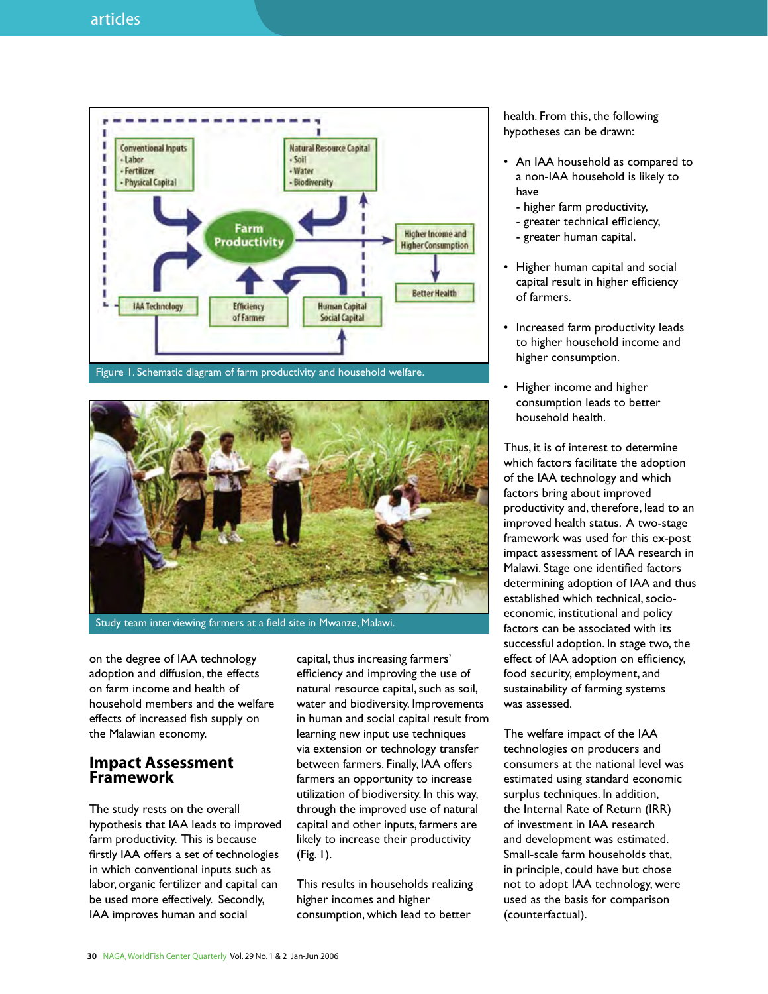

Figure 1. Schematic diagram of farm productivity and household welfare.



Study team interviewing farmers at a field site in Mwanze, Malawi.

on the degree of IAA technology adoption and diffusion, the effects on farm income and health of household members and the welfare effects of increased fish supply on the Malawian economy.

## **Impact Assessment Framework**

The study rests on the overall hypothesis that IAA leads to improved farm productivity. This is because firstly IAA offers a set of technologies in which conventional inputs such as labor, organic fertilizer and capital can be used more effectively. Secondly, IAA improves human and social

capital, thus increasing farmers' efficiency and improving the use of natural resource capital, such as soil, water and biodiversity. Improvements in human and social capital result from learning new input use techniques via extension or technology transfer between farmers. Finally, IAA offers farmers an opportunity to increase utilization of biodiversity. In this way, through the improved use of natural capital and other inputs, farmers are likely to increase their productivity (Fig. 1).

This results in households realizing higher incomes and higher consumption, which lead to better

health. From this, the following hypotheses can be drawn:

- An IAA household as compared to a non-IAA household is likely to have
	- higher farm productivity,
	- greater technical efficiency,
	- greater human capital.
- Higher human capital and social capital result in higher efficiency of farmers.
- Increased farm productivity leads to higher household income and higher consumption.
- Higher income and higher consumption leads to better household health.

Thus, it is of interest to determine which factors facilitate the adoption of the IAA technology and which factors bring about improved productivity and, therefore, lead to an improved health status. A two-stage framework was used for this ex-post impact assessment of IAA research in Malawi. Stage one identified factors determining adoption of IAA and thus established which technical, socioeconomic, institutional and policy factors can be associated with its successful adoption. In stage two, the effect of IAA adoption on efficiency, food security, employment, and sustainability of farming systems was assessed.

The welfare impact of the IAA technologies on producers and consumers at the national level was estimated using standard economic surplus techniques. In addition, the Internal Rate of Return (IRR) of investment in IAA research and development was estimated. Small-scale farm households that, in principle, could have but chose not to adopt IAA technology, were used as the basis for comparison (counterfactual).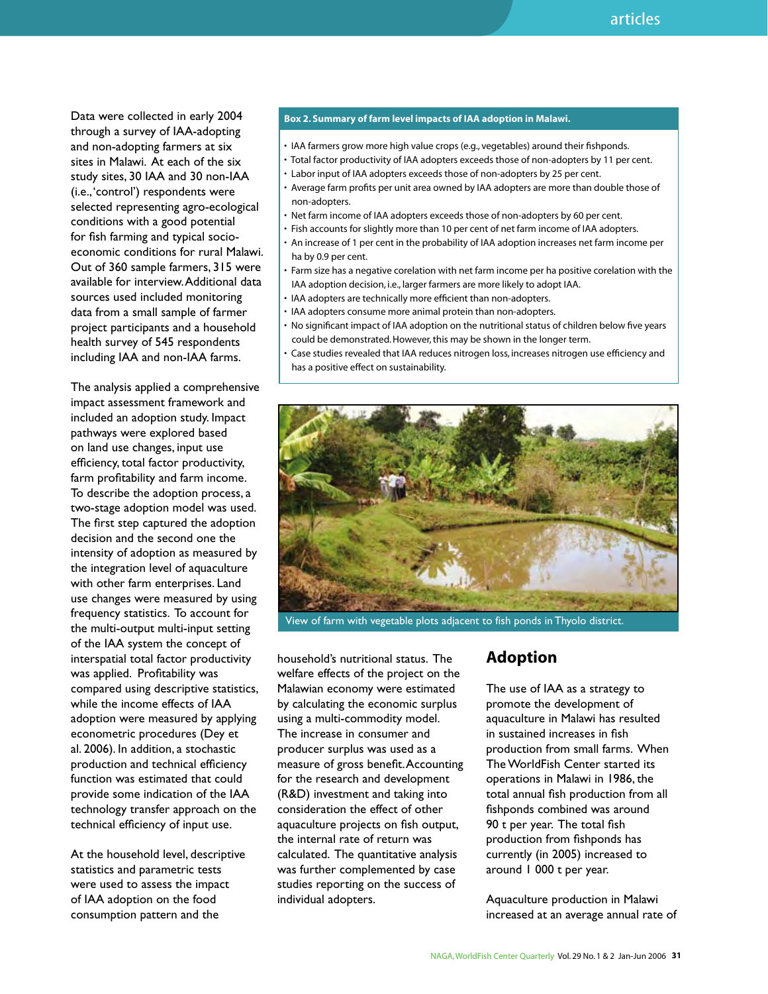Data were collected in early 2004 through a survey of IAA-adopting and non-adopting farmers at six sites in Malawi. At each of the six study sites, 30 IAA and 30 non-IAA (i.e., 'control') respondents were selected representing agro-ecological conditions with a good potential for fish farming and typical socioeconomic conditions for rural Malawi. Out of 360 sample farmers, 315 were available for interview. Additional data sources used included monitoring data from a small sample of farmer project participants and a household health survey of 545 respondents including IAA and non-IAA farms.

The analysis applied a comprehensive impact assessment framework and included an adoption study. Impact pathways were explored based on land use changes, input use efficiency, total factor productivity, farm profitability and farm income. To describe the adoption process, a two-stage adoption model was used. The first step captured the adoption decision and the second one the intensity of adoption as measured by the integration level of aquaculture with other farm enterprises. Land use changes were measured by using frequency statistics. To account for the multi-output multi-input setting of the IAA system the concept of interspatial total factor productivity was applied. Profitability was compared using descriptive statistics, while the income effects of IAA adoption were measured by applying econometric procedures (Dey et al. 2006). In addition, a stochastic production and technical efficiency function was estimated that could provide some indication of the IAA technology transfer approach on the technical efficiency of input use.

At the household level, descriptive statistics and parametric tests were used to assess the impact of IAA adoption on the food consumption pattern and the

#### **Box 2. Summary of farm level impacts of IAA adoption in Malawi.**

- IAA farmers grow more high value crops (e.g., vegetables) around their fishponds.
- Total factor productivity of IAA adopters exceeds those of non-adopters by 11 per cent.
- Labor input of IAA adopters exceeds those of non-adopters by 25 per cent.
- Average farm profits per unit area owned by IAA adopters are more than double those of non-adopters.
- Net farm income of IAA adopters exceeds those of non-adopters by 60 per cent.
- Fish accounts for slightly more than 10 per cent of net farm income of IAA adopters.
- An increase of 1 per cent in the probability of IAA adoption increases net farm income per ha by 0.9 per cent.
- Farm size has a negative corelation with net farm income per ha positive corelation with the IAA adoption decision, i.e., larger farmers are more likely to adopt IAA.
- IAA adopters are technically more efficient than non-adopters.
- IAA adopters consume more animal protein than non-adopters.
- No significant impact of IAA adoption on the nutritional status of children below five years could be demonstrated. However, this may be shown in the longer term.
- Case studies revealed that IAA reduces nitrogen loss, increases nitrogen use efficiency and has a positive effect on sustainability.



View of farm with vegetable plots adjacent to fish ponds in Thyolo district.

household's nutritional status. The welfare effects of the project on the Malawian economy were estimated by calculating the economic surplus using a multi-commodity model. The increase in consumer and producer surplus was used as a measure of gross benefit. Accounting for the research and development (R&D) investment and taking into consideration the effect of other aquaculture projects on fish output, the internal rate of return was calculated. The quantitative analysis was further complemented by case studies reporting on the success of individual adopters.

## **Adoption**

The use of IAA as a strategy to promote the development of aquaculture in Malawi has resulted in sustained increases in fish production from small farms. When The WorldFish Center started its operations in Malawi in 1986, the total annual fish production from all fishponds combined was around 90 t per year. The total fish production from fishponds has currently (in 2005) increased to around 1 000 t per year.

Aquaculture production in Malawi increased at an average annual rate of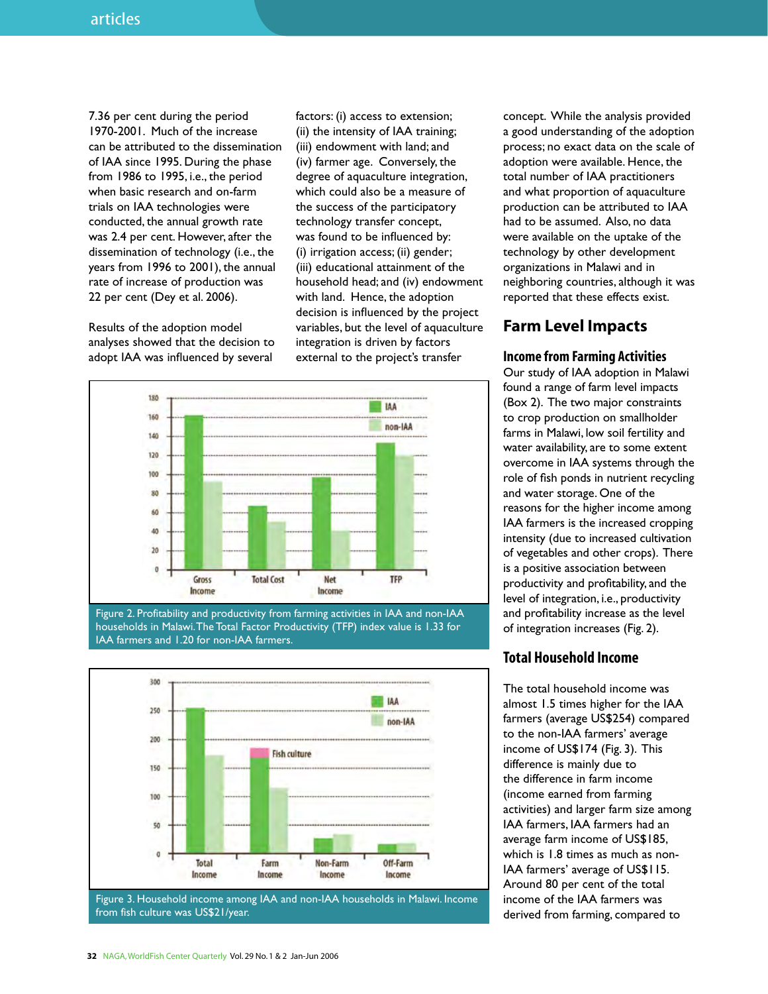7.36 per cent during the period 1970-2001. Much of the increase can be attributed to the dissemination of IAA since 1995. During the phase from 1986 to 1995, i.e., the period when basic research and on-farm trials on IAA technologies were conducted, the annual growth rate was 2.4 per cent. However, after the dissemination of technology (i.e., the years from 1996 to 2001), the annual rate of increase of production was 22 per cent (Dey et al. 2006).

Results of the adoption model analyses showed that the decision to adopt IAA was influenced by several

factors: (i) access to extension; (ii) the intensity of IAA training; (iii) endowment with land; and (iv) farmer age. Conversely, the degree of aquaculture integration, which could also be a measure of the success of the participatory technology transfer concept, was found to be influenced by: (i) irrigation access; (ii) gender; (iii) educational attainment of the household head; and (iv) endowment with land. Hence, the adoption decision is influenced by the project variables, but the level of aquaculture integration is driven by factors external to the project's transfer



Figure 2. Profitability and productivity from farming activities in IAA and non-IAA households in Malawi. The Total Factor Productivity (TFP) index value is 1.33 for IAA farmers and 1.20 for non-IAA farmers.



from fish culture was US\$21/year.

concept. While the analysis provided a good understanding of the adoption process; no exact data on the scale of adoption were available. Hence, the total number of IAA practitioners and what proportion of aquaculture production can be attributed to IAA had to be assumed. Also, no data were available on the uptake of the technology by other development organizations in Malawi and in neighboring countries, although it was reported that these effects exist.

# **Farm Level Impacts**

## **Income from Farming Activities**

Our study of IAA adoption in Malawi found a range of farm level impacts (Box 2). The two major constraints to crop production on smallholder farms in Malawi, low soil fertility and water availability, are to some extent overcome in IAA systems through the role of fish ponds in nutrient recycling and water storage. One of the reasons for the higher income among IAA farmers is the increased cropping intensity (due to increased cultivation of vegetables and other crops). There is a positive association between productivity and profitability, and the level of integration, i.e., productivity and profitability increase as the level of integration increases (Fig. 2).

## **Total Household Income**

The total household income was almost 1.5 times higher for the IAA farmers (average US\$254) compared to the non-IAA farmers' average income of US\$174 (Fig. 3). This difference is mainly due to the difference in farm income (income earned from farming activities) and larger farm size among IAA farmers, IAA farmers had an average farm income of US\$185, which is 1.8 times as much as non-IAA farmers' average of US\$115. Around 80 per cent of the total income of the IAA farmers was derived from farming, compared to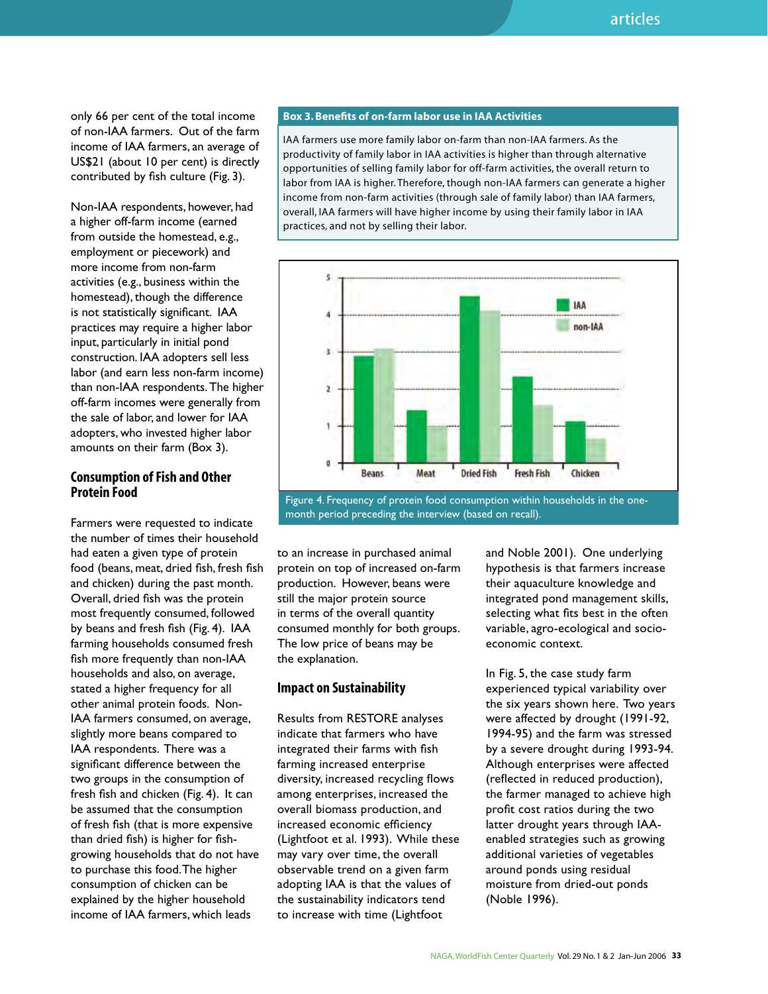only 66 per cent of the total income of non-IAA farmers. Out of the farm income of IAA farmers, an average of US\$21 (about 10 per cent) is directly contributed by fish culture (Fig. 3).

Non-IAA respondents, however, had a higher off-farm income (earned from outside the homestead, e.g., employment or piecework) and more income from non-farm activities (e.g., business within the homestead), though the difference is not statistically significant. IAA practices may require a higher labor input, particularly in initial pond construction. IAA adopters sell less labor (and earn less non-farm income) than non-IAA respondents. The higher off-farm incomes were generally from the sale of labor, and lower for IAA adopters, who invested higher labor amounts on their farm (Box 3).

### **Consumption of Fish and Other Protein Food**

Farmers were requested to indicate the number of times their household had eaten a given type of protein food (beans, meat, dried fish, fresh fish and chicken) during the past month. Overall, dried fish was the protein most frequently consumed, followed by beans and fresh fish (Fig. 4). IAA farming households consumed fresh fish more frequently than non-IAA households and also, on average, stated a higher frequency for all other animal protein foods. Non-IAA farmers consumed, on average, slightly more beans compared to IAA respondents. There was a significant difference between the two groups in the consumption of fresh fish and chicken (Fig. 4). It can be assumed that the consumption of fresh fish (that is more expensive than dried fish) is higher for fishgrowing households that do not have to purchase this food. The higher consumption of chicken can be explained by the higher household income of IAA farmers, which leads

#### **Box 3. Benefits of on-farm labor use in IAA Activities**

IAA farmers use more family labor on-farm than non-IAA farmers. As the productivity of family labor in IAA activities is higher than through alternative opportunities of selling family labor for off-farm activities, the overall return to labor from IAA is higher. Therefore, though non-IAA farmers can generate a higher income from non-farm activities (through sale of family labor) than IAA farmers, overall, IAA farmers will have higher income by using their family labor in IAA practices, and not by selling their labor.



month period preceding the interview (based on recall).

to an increase in purchased animal protein on top of increased on-farm production. However, beans were still the major protein source in terms of the overall quantity consumed monthly for both groups. The low price of beans may be the explanation.

#### **Impact on Sustainability**

Results from RESTORE analyses indicate that farmers who have integrated their farms with fish farming increased enterprise diversity, increased recycling flows among enterprises, increased the overall biomass production, and increased economic efficiency (Lightfoot et al. 1993). While these may vary over time, the overall observable trend on a given farm adopting IAA is that the values of the sustainability indicators tend to increase with time (Lightfoot

and Noble 2001). One underlying hypothesis is that farmers increase their aquaculture knowledge and integrated pond management skills, selecting what fits best in the often variable, agro-ecological and socioeconomic context.

In Fig. 5, the case study farm experienced typical variability over the six years shown here. Two years were affected by drought (1991-92, 1994-95) and the farm was stressed by a severe drought during 1993-94. Although enterprises were affected (reflected in reduced production), the farmer managed to achieve high profit cost ratios during the two latter drought years through IAAenabled strategies such as growing additional varieties of vegetables around ponds using residual moisture from dried-out ponds (Noble 1996).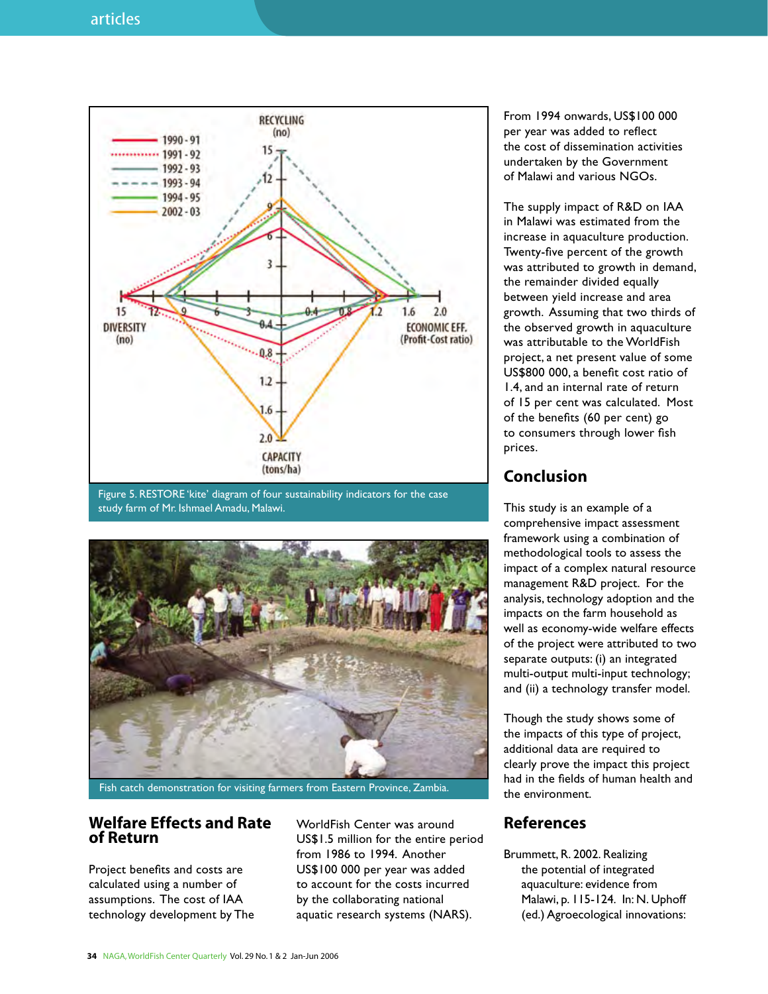

Figure 5. RESTORE 'kite' diagram of four sustainability indicators for the case study farm of Mr. Ishmael Amadu, Malawi.



#### Fish catch demonstration for visiting farmers from Eastern Province, Zambia.

## **Welfare Effects and Rate of Return**

Project benefits and costs are calculated using a number of assumptions. The cost of IAA technology development by The

WorldFish Center was around US\$1.5 million for the entire period from 1986 to 1994. Another US\$100 000 per year was added to account for the costs incurred by the collaborating national aquatic research systems (NARS).

From 1994 onwards, US\$100 000 per year was added to reflect the cost of dissemination activities undertaken by the Government of Malawi and various NGOs.

The supply impact of R&D on IAA in Malawi was estimated from the increase in aquaculture production. Twenty-five percent of the growth was attributed to growth in demand, the remainder divided equally between yield increase and area growth. Assuming that two thirds of the observed growth in aquaculture was attributable to the WorldFish project, a net present value of some US\$800 000, a benefit cost ratio of 1.4, and an internal rate of return of 15 per cent was calculated. Most of the benefits (60 per cent) go to consumers through lower fish prices.

## **Conclusion**

This study is an example of a comprehensive impact assessment framework using a combination of methodological tools to assess the impact of a complex natural resource management R&D project. For the analysis, technology adoption and the impacts on the farm household as well as economy-wide welfare effects of the project were attributed to two separate outputs: (i) an integrated multi-output multi-input technology; and (ii) a technology transfer model.

Though the study shows some of the impacts of this type of project, additional data are required to clearly prove the impact this project had in the fields of human health and the environment.

## **References**

Brummett, R. 2002. Realizing the potential of integrated aquaculture: evidence from Malawi, p. 115-124. In: N. Uphoff (ed.) Agroecological innovations: